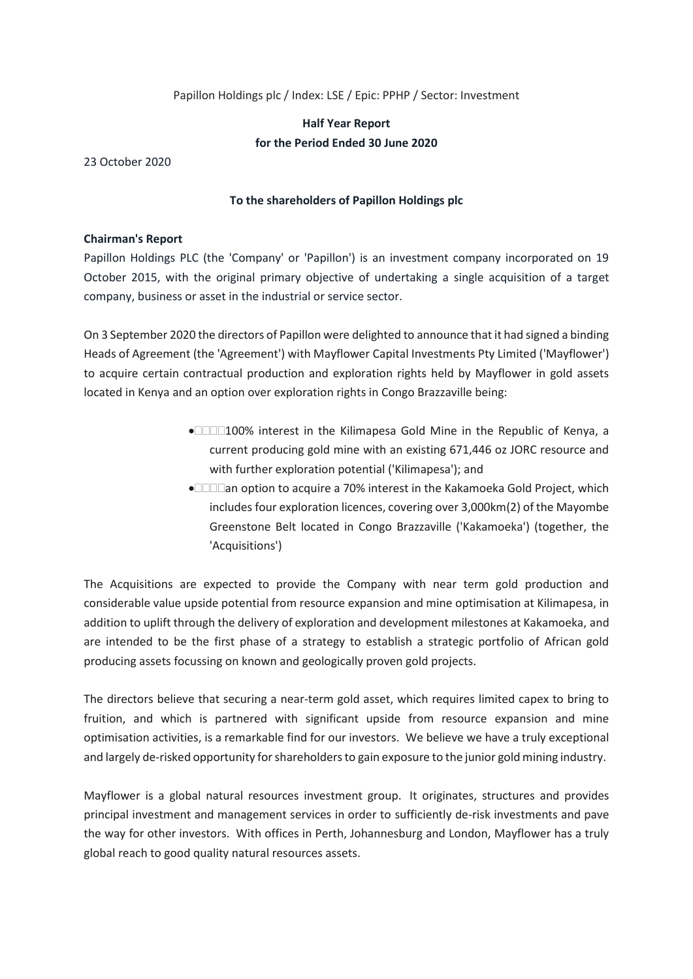### Papillon Holdings plc / Index: LSE / Epic: PPHP / Sector: Investment

# **Half Year Report for the Period Ended 30 June 2020**

23 October 2020

### **To the shareholders of Papillon Holdings plc**

#### **Chairman's Report**

Papillon Holdings PLC (the 'Company' or 'Papillon') is an investment company incorporated on 19 October 2015, with the original primary objective of undertaking a single acquisition of a target company, business or asset in the industrial or service sector.

On 3 September 2020 the directors of Papillon were delighted to announce that it had signed a binding Heads of Agreement (the 'Agreement') with Mayflower Capital Investments Pty Limited ('Mayflower') to acquire certain contractual production and exploration rights held by Mayflower in gold assets located in Kenya and an option over exploration rights in Congo Brazzaville being:

- • $□□100%$  interest in the Kilimapesa Gold Mine in the Republic of Kenya, a current producing gold mine with an existing 671,446 oz JORC resource and with further exploration potential ('Kilimapesa'); and
- **•**  $\Box$  $\Box$ an option to acquire a 70% interest in the Kakamoeka Gold Project, which includes four exploration licences, covering over 3,000km(2) of the Mayombe Greenstone Belt located in Congo Brazzaville ('Kakamoeka') (together, the 'Acquisitions')

The Acquisitions are expected to provide the Company with near term gold production and considerable value upside potential from resource expansion and mine optimisation at Kilimapesa, in addition to uplift through the delivery of exploration and development milestones at Kakamoeka, and are intended to be the first phase of a strategy to establish a strategic portfolio of African gold producing assets focussing on known and geologically proven gold projects.

The directors believe that securing a near-term gold asset, which requires limited capex to bring to fruition, and which is partnered with significant upside from resource expansion and mine optimisation activities, is a remarkable find for our investors. We believe we have a truly exceptional and largely de-risked opportunity for shareholders to gain exposure to the junior gold mining industry.

Mayflower is a global natural resources investment group. It originates, structures and provides principal investment and management services in order to sufficiently de-risk investments and pave the way for other investors. With offices in Perth, Johannesburg and London, Mayflower has a truly global reach to good quality natural resources assets.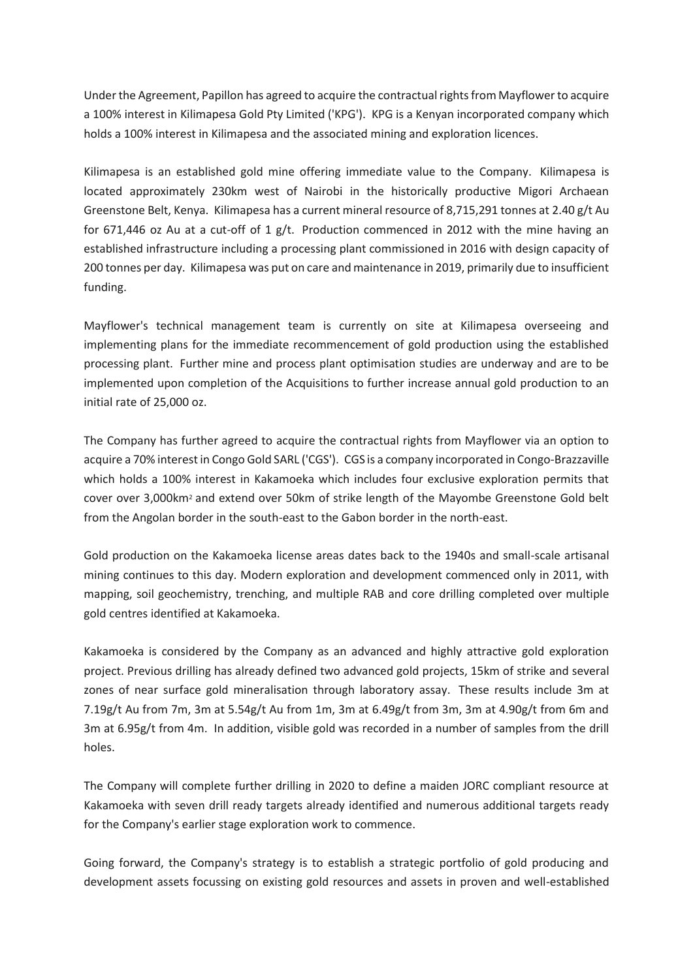Under the Agreement, Papillon has agreed to acquire the contractual rights from Mayflower to acquire a 100% interest in Kilimapesa Gold Pty Limited ('KPG'). KPG is a Kenyan incorporated company which holds a 100% interest in Kilimapesa and the associated mining and exploration licences.

Kilimapesa is an established gold mine offering immediate value to the Company. Kilimapesa is located approximately 230km west of Nairobi in the historically productive Migori Archaean Greenstone Belt, Kenya. Kilimapesa has a current mineral resource of 8,715,291 tonnes at 2.40 g/t Au for 671,446 oz Au at a cut-off of 1 g/t. Production commenced in 2012 with the mine having an established infrastructure including a processing plant commissioned in 2016 with design capacity of 200 tonnes per day. Kilimapesa was put on care and maintenance in 2019, primarily due to insufficient funding.

Mayflower's technical management team is currently on site at Kilimapesa overseeing and implementing plans for the immediate recommencement of gold production using the established processing plant. Further mine and process plant optimisation studies are underway and are to be implemented upon completion of the Acquisitions to further increase annual gold production to an initial rate of 25,000 oz.

The Company has further agreed to acquire the contractual rights from Mayflower via an option to acquire a 70% interest in Congo Gold SARL ('CGS'). CGS is a company incorporated in Congo-Brazzaville which holds a 100% interest in Kakamoeka which includes four exclusive exploration permits that cover over 3,000km<sup>2</sup> and extend over 50km of strike length of the Mayombe Greenstone Gold belt from the Angolan border in the south-east to the Gabon border in the north-east.

Gold production on the Kakamoeka license areas dates back to the 1940s and small-scale artisanal mining continues to this day. Modern exploration and development commenced only in 2011, with mapping, soil geochemistry, trenching, and multiple RAB and core drilling completed over multiple gold centres identified at Kakamoeka.

Kakamoeka is considered by the Company as an advanced and highly attractive gold exploration project. Previous drilling has already defined two advanced gold projects, 15km of strike and several zones of near surface gold mineralisation through laboratory assay. These results include 3m at 7.19g/t Au from 7m, 3m at 5.54g/t Au from 1m, 3m at 6.49g/t from 3m, 3m at 4.90g/t from 6m and 3m at 6.95g/t from 4m. In addition, visible gold was recorded in a number of samples from the drill holes.

The Company will complete further drilling in 2020 to define a maiden JORC compliant resource at Kakamoeka with seven drill ready targets already identified and numerous additional targets ready for the Company's earlier stage exploration work to commence.

Going forward, the Company's strategy is to establish a strategic portfolio of gold producing and development assets focussing on existing gold resources and assets in proven and well-established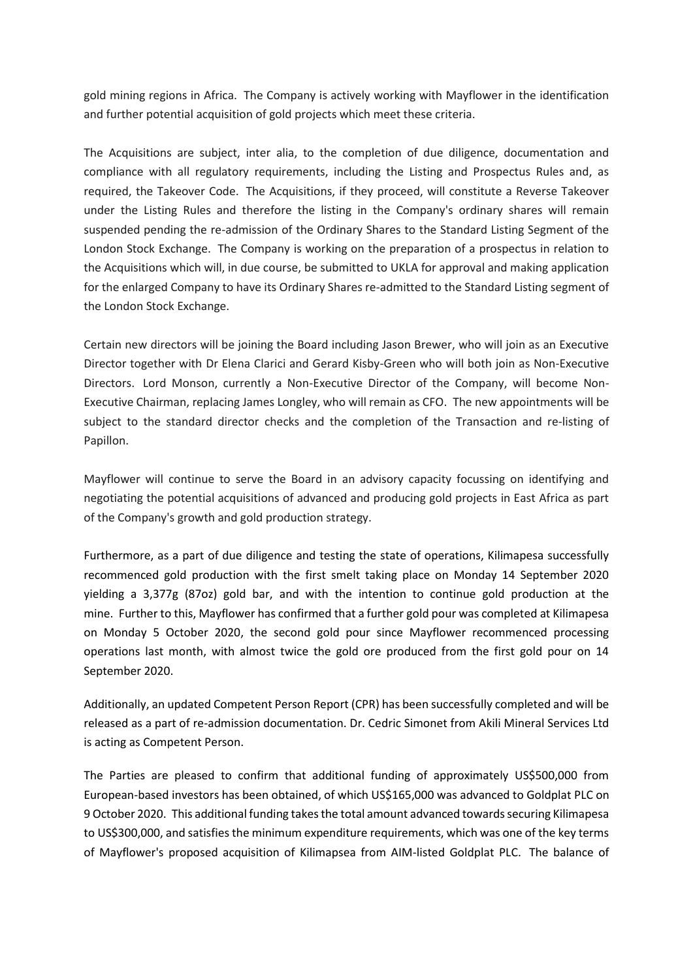gold mining regions in Africa. The Company is actively working with Mayflower in the identification and further potential acquisition of gold projects which meet these criteria.

The Acquisitions are subject, inter alia, to the completion of due diligence, documentation and compliance with all regulatory requirements, including the Listing and Prospectus Rules and, as required, the Takeover Code. The Acquisitions, if they proceed, will constitute a Reverse Takeover under the Listing Rules and therefore the listing in the Company's ordinary shares will remain suspended pending the re-admission of the Ordinary Shares to the Standard Listing Segment of the London Stock Exchange. The Company is working on the preparation of a prospectus in relation to the Acquisitions which will, in due course, be submitted to UKLA for approval and making application for the enlarged Company to have its Ordinary Shares re-admitted to the Standard Listing segment of the London Stock Exchange.

Certain new directors will be joining the Board including Jason Brewer, who will join as an Executive Director together with Dr Elena Clarici and Gerard Kisby-Green who will both join as Non-Executive Directors. Lord Monson, currently a Non-Executive Director of the Company, will become Non-Executive Chairman, replacing James Longley, who will remain as CFO. The new appointments will be subject to the standard director checks and the completion of the Transaction and re-listing of Papillon.

Mayflower will continue to serve the Board in an advisory capacity focussing on identifying and negotiating the potential acquisitions of advanced and producing gold projects in East Africa as part of the Company's growth and gold production strategy.

Furthermore, as a part of due diligence and testing the state of operations, Kilimapesa successfully recommenced gold production with the first smelt taking place on Monday 14 September 2020 yielding a 3,377g (87oz) gold bar, and with the intention to continue gold production at the mine. Further to this, Mayflower has confirmed that a further gold pour was completed at Kilimapesa on Monday 5 October 2020, the second gold pour since Mayflower recommenced processing operations last month, with almost twice the gold ore produced from the first gold pour on 14 September 2020.

Additionally, an updated Competent Person Report (CPR) has been successfully completed and will be released as a part of re-admission documentation. Dr. Cedric Simonet from Akili Mineral Services Ltd is acting as Competent Person.

The Parties are pleased to confirm that additional funding of approximately US\$500,000 from European-based investors has been obtained, of which US\$165,000 was advanced to Goldplat PLC on 9 October 2020. This additional funding takes the total amount advanced towards securing Kilimapesa to US\$300,000, and satisfies the minimum expenditure requirements, which was one of the key terms of Mayflower's proposed acquisition of Kilimapsea from AIM-listed Goldplat PLC. The balance of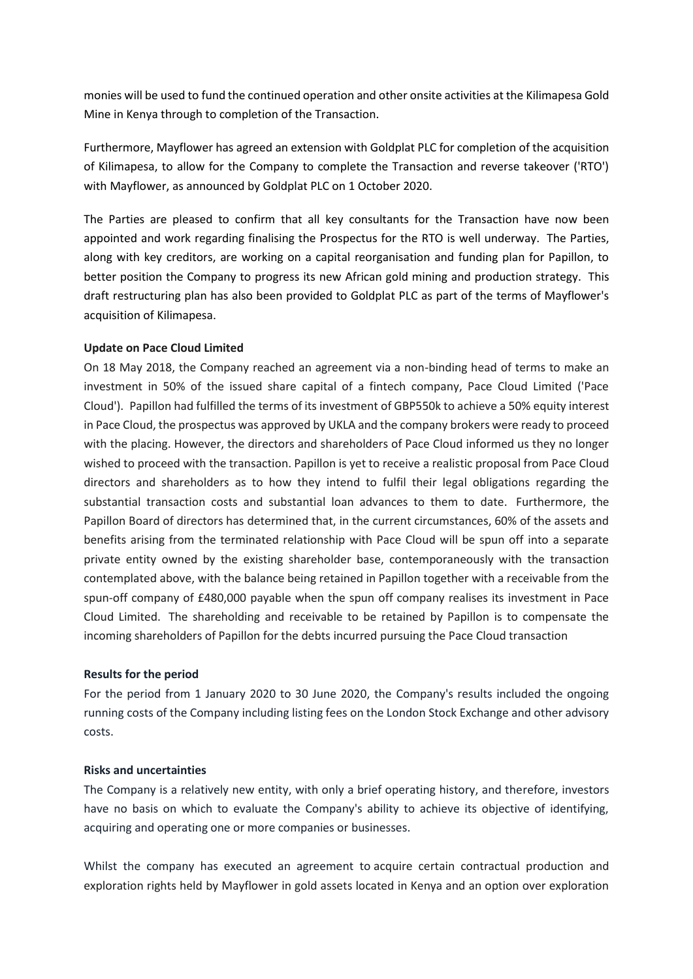monies will be used to fund the continued operation and other onsite activities at the Kilimapesa Gold Mine in Kenya through to completion of the Transaction.

Furthermore, Mayflower has agreed an extension with Goldplat PLC for completion of the acquisition of Kilimapesa, to allow for the Company to complete the Transaction and reverse takeover ('RTO') with Mayflower, as announced by Goldplat PLC on 1 October 2020.

The Parties are pleased to confirm that all key consultants for the Transaction have now been appointed and work regarding finalising the Prospectus for the RTO is well underway. The Parties, along with key creditors, are working on a capital reorganisation and funding plan for Papillon, to better position the Company to progress its new African gold mining and production strategy. This draft restructuring plan has also been provided to Goldplat PLC as part of the terms of Mayflower's acquisition of Kilimapesa.

### **Update on Pace Cloud Limited**

On 18 May 2018, the Company reached an agreement via a non-binding head of terms to make an investment in 50% of the issued share capital of a fintech company, Pace Cloud Limited ('Pace Cloud'). Papillon had fulfilled the terms of its investment of GBP550k to achieve a 50% equity interest in Pace Cloud, the prospectus was approved by UKLA and the company brokers were ready to proceed with the placing. However, the directors and shareholders of Pace Cloud informed us they no longer wished to proceed with the transaction. Papillon is yet to receive a realistic proposal from Pace Cloud directors and shareholders as to how they intend to fulfil their legal obligations regarding the substantial transaction costs and substantial loan advances to them to date. Furthermore, the Papillon Board of directors has determined that, in the current circumstances, 60% of the assets and benefits arising from the terminated relationship with Pace Cloud will be spun off into a separate private entity owned by the existing shareholder base, contemporaneously with the transaction contemplated above, with the balance being retained in Papillon together with a receivable from the spun-off company of £480,000 payable when the spun off company realises its investment in Pace Cloud Limited. The shareholding and receivable to be retained by Papillon is to compensate the incoming shareholders of Papillon for the debts incurred pursuing the Pace Cloud transaction

### **Results for the period**

For the period from 1 January 2020 to 30 June 2020, the Company's results included the ongoing running costs of the Company including listing fees on the London Stock Exchange and other advisory costs.

# **Risks and uncertainties**

The Company is a relatively new entity, with only a brief operating history, and therefore, investors have no basis on which to evaluate the Company's ability to achieve its objective of identifying, acquiring and operating one or more companies or businesses.

Whilst the company has executed an agreement to acquire certain contractual production and exploration rights held by Mayflower in gold assets located in Kenya and an option over exploration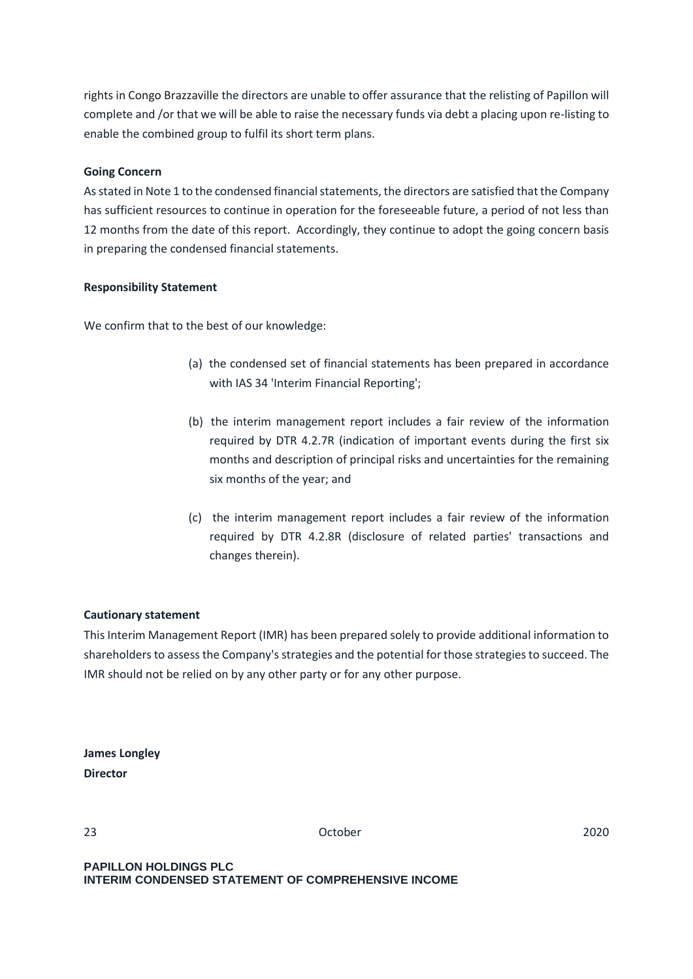rights in Congo Brazzaville the directors are unable to offer assurance that the relisting of Papillon will complete and /or that we will be able to raise the necessary funds via debt a placing upon re-listing to enable the combined group to fulfil its short term plans.

# **Going Concern**

As stated in Note 1 to the condensed financial statements, the directors are satisfied that the Company has sufficient resources to continue in operation for the foreseeable future, a period of not less than 12 months from the date of this report. Accordingly, they continue to adopt the going concern basis in preparing the condensed financial statements.

### **Responsibility Statement**

We confirm that to the best of our knowledge:

- (a) the condensed set of financial statements has been prepared in accordance with IAS 34 'Interim Financial Reporting';
- (b) the interim management report includes a fair review of the information required by DTR 4.2.7R (indication of important events during the first six months and description of principal risks and uncertainties for the remaining six months of the year; and
- (c) the interim management report includes a fair review of the information required by DTR 4.2.8R (disclosure of related parties' transactions and changes therein).

# **Cautionary statement**

This Interim Management Report (IMR) has been prepared solely to provide additional information to shareholders to assess the Company's strategies and the potential for those strategies to succeed. The IMR should not be relied on by any other party or for any other purpose.

|                 | <b>James Longley</b> |
|-----------------|----------------------|
| <b>Director</b> |                      |

23 October 2020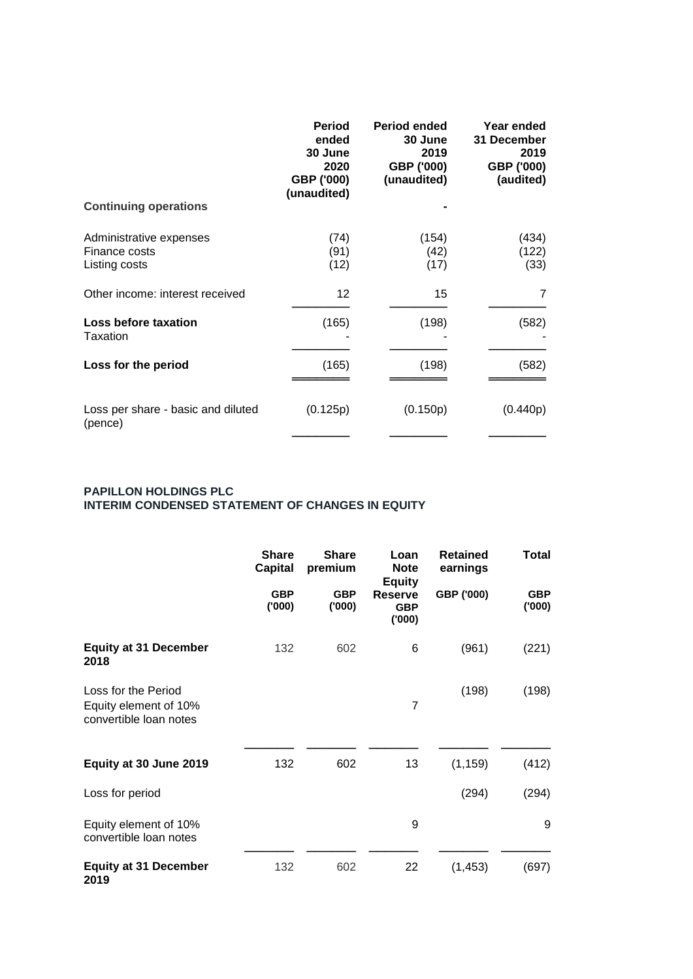|                                                           | <b>Period</b><br>ended<br>30 June<br>2020<br>GBP ('000)<br>(unaudited) | <b>Period ended</b><br>30 June<br>2019<br>GBP ('000)<br>(unaudited) | Year ended<br>31 December<br>2019<br>GBP ('000)<br>(audited) |
|-----------------------------------------------------------|------------------------------------------------------------------------|---------------------------------------------------------------------|--------------------------------------------------------------|
| <b>Continuing operations</b>                              |                                                                        |                                                                     |                                                              |
| Administrative expenses<br>Finance costs<br>Listing costs | (74)<br>(91)<br>(12)                                                   | (154)<br>(42)<br>(17)                                               | (434)<br>(122)<br>(33)                                       |
| Other income: interest received                           | 12                                                                     | 15                                                                  | 7                                                            |
| Loss before taxation<br>Taxation                          | (165)                                                                  | (198)                                                               | (582)                                                        |
| Loss for the period                                       | (165)                                                                  | (198)                                                               | (582)                                                        |
| Loss per share - basic and diluted<br>(pence)             | (0.125p)                                                               | (0.150p)                                                            | (0.440p)                                                     |

### **PAPILLON HOLDINGS PLC INTERIM CONDENSED STATEMENT OF CHANGES IN EQUITY**

|                                                                        | <b>Share</b><br><b>Capital</b> | <b>Share</b><br>premium | Loan<br><b>Note</b>                                    | <b>Retained</b><br>earnings | <b>Total</b>        |
|------------------------------------------------------------------------|--------------------------------|-------------------------|--------------------------------------------------------|-----------------------------|---------------------|
|                                                                        | <b>GBP</b><br>(000)            | <b>GBP</b><br>(000)     | <b>Equity</b><br><b>Reserve</b><br><b>GBP</b><br>(000) | GBP ('000)                  | <b>GBP</b><br>(000) |
| <b>Equity at 31 December</b><br>2018                                   | 132                            | 602                     | 6                                                      | (961)                       | (221)               |
| Loss for the Period<br>Equity element of 10%<br>convertible loan notes |                                |                         | $\overline{7}$                                         | (198)                       | (198)               |
| Equity at 30 June 2019                                                 | 132                            | 602                     | 13                                                     | (1, 159)                    | (412)               |
| Loss for period                                                        |                                |                         |                                                        | (294)                       | (294)               |
| Equity element of 10%<br>convertible loan notes                        |                                |                         | 9                                                      |                             | 9                   |
| <b>Equity at 31 December</b><br>2019                                   | 132                            | 602                     | 22                                                     | (1, 453)                    | (697)               |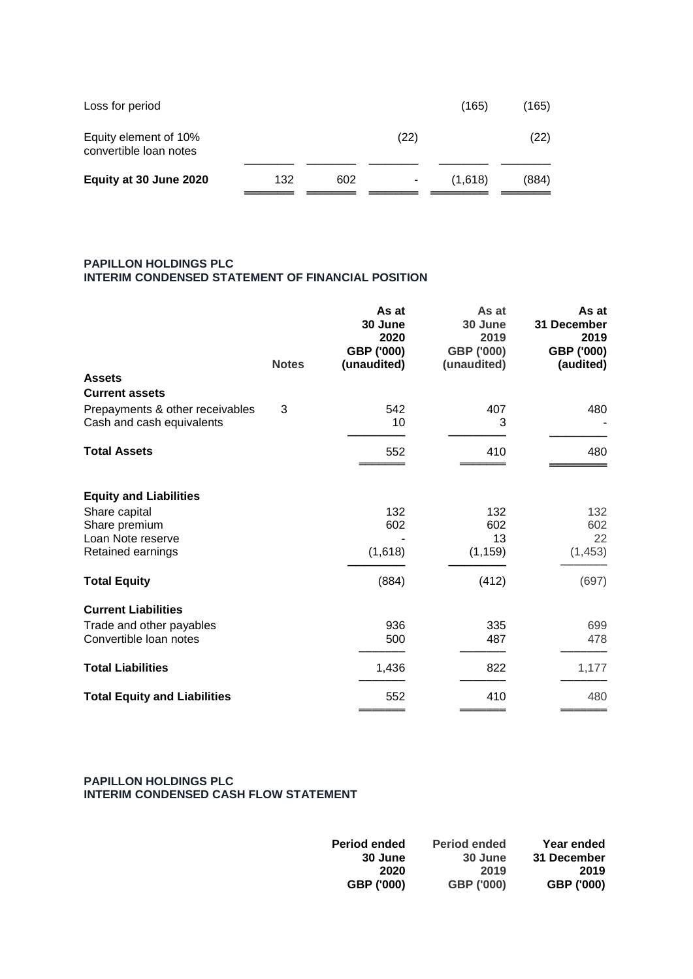| Loss for period                                 |     |     |                | (165)   | (165) |
|-------------------------------------------------|-----|-----|----------------|---------|-------|
| Equity element of 10%<br>convertible loan notes |     |     | (22)           |         | (22)  |
| Equity at 30 June 2020                          | 132 | 602 | $\blacksquare$ | (1,618) | (884) |

### **PAPILLON HOLDINGS PLC INTERIM CONDENSED STATEMENT OF FINANCIAL POSITION**

|                                                              | <b>Notes</b> | As at<br>30 June<br>2020<br>GBP ('000)<br>(unaudited) | As at<br>30 June<br>2019<br>GBP ('000)<br>(unaudited) | As at<br>31 December<br>2019<br>GBP ('000) |
|--------------------------------------------------------------|--------------|-------------------------------------------------------|-------------------------------------------------------|--------------------------------------------|
| <b>Assets</b>                                                |              |                                                       |                                                       | (audited)                                  |
| <b>Current assets</b>                                        |              |                                                       |                                                       |                                            |
| Prepayments & other receivables<br>Cash and cash equivalents | 3            | 542<br>10                                             | 407<br>3                                              | 480                                        |
| <b>Total Assets</b>                                          |              | 552                                                   | 410                                                   | 480                                        |
| <b>Equity and Liabilities</b>                                |              |                                                       |                                                       |                                            |
| Share capital                                                |              | 132                                                   | 132                                                   | 132                                        |
| Share premium<br>Loan Note reserve                           |              | 602                                                   | 602<br>13                                             | 602<br>22                                  |
| Retained earnings                                            |              | (1,618)                                               | (1, 159)                                              | (1, 453)                                   |
| <b>Total Equity</b>                                          |              | (884)                                                 | (412)                                                 | (697)                                      |
| <b>Current Liabilities</b>                                   |              |                                                       |                                                       |                                            |
| Trade and other payables                                     |              | 936                                                   | 335                                                   | 699                                        |
| Convertible loan notes                                       |              | 500                                                   | 487                                                   | 478                                        |
| <b>Total Liabilities</b>                                     |              | 1,436                                                 | 822                                                   | 1,177                                      |
| <b>Total Equity and Liabilities</b>                          |              | 552                                                   | 410                                                   | 480                                        |

#### **PAPILLON HOLDINGS PLC INTERIM CONDENSED CASH FLOW STATEMENT**

| <b>Period ended</b> | <b>Period ended</b> | Year ended  |
|---------------------|---------------------|-------------|
| 30 June             | 30 June             | 31 December |
| 2020                | 2019                | 2019        |
| GBP ('000)          | GBP ('000)          | GBP ('000)  |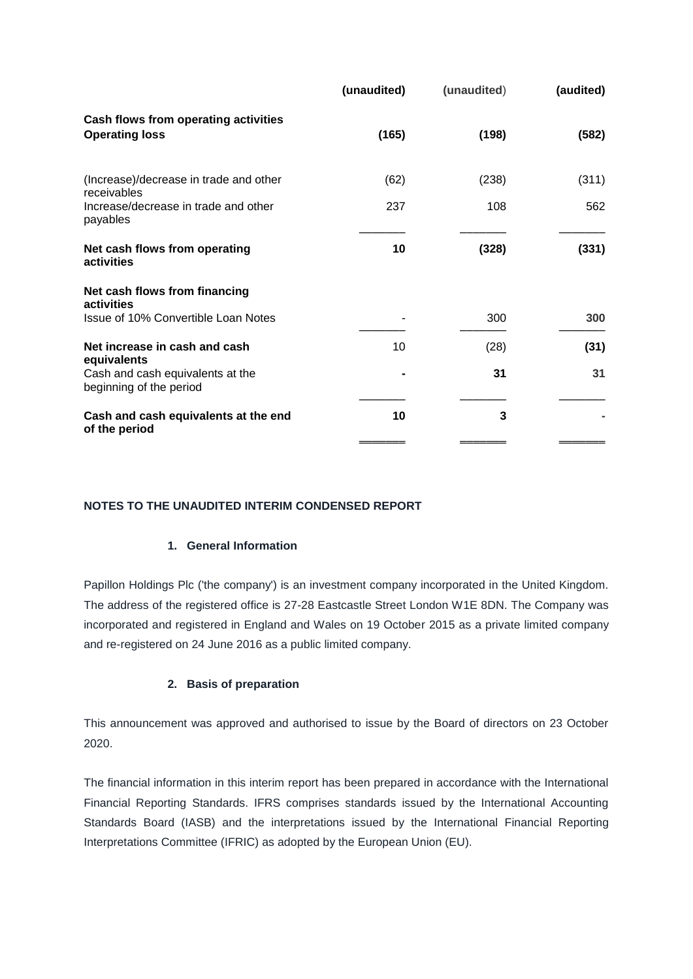|                                                               | (unaudited) | (unaudited) | (audited) |
|---------------------------------------------------------------|-------------|-------------|-----------|
| Cash flows from operating activities<br><b>Operating loss</b> | (165)       | (198)       | (582)     |
| (Increase)/decrease in trade and other<br>receivables         | (62)        | (238)       | (311)     |
| Increase/decrease in trade and other<br>payables              | 237         | 108         | 562       |
| Net cash flows from operating<br>activities                   | 10          | (328)       | (331)     |
| Net cash flows from financing<br>activities                   |             |             |           |
| Issue of 10% Convertible Loan Notes                           |             | 300         | 300       |
| Net increase in cash and cash<br>equivalents                  | 10          | (28)        | (31)      |
| Cash and cash equivalents at the<br>beginning of the period   |             | 31          | 31        |
| Cash and cash equivalents at the end<br>of the period         | 10          | 3           |           |
|                                                               |             |             |           |

# **NOTES TO THE UNAUDITED INTERIM CONDENSED REPORT**

### **1. General Information**

Papillon Holdings Plc ('the company') is an investment company incorporated in the United Kingdom. The address of the registered office is 27-28 Eastcastle Street London W1E 8DN. The Company was incorporated and registered in England and Wales on 19 October 2015 as a private limited company and re-registered on 24 June 2016 as a public limited company.

# **2. Basis of preparation**

This announcement was approved and authorised to issue by the Board of directors on 23 October 2020.

The financial information in this interim report has been prepared in accordance with the International Financial Reporting Standards. IFRS comprises standards issued by the International Accounting Standards Board (IASB) and the interpretations issued by the International Financial Reporting Interpretations Committee (IFRIC) as adopted by the European Union (EU).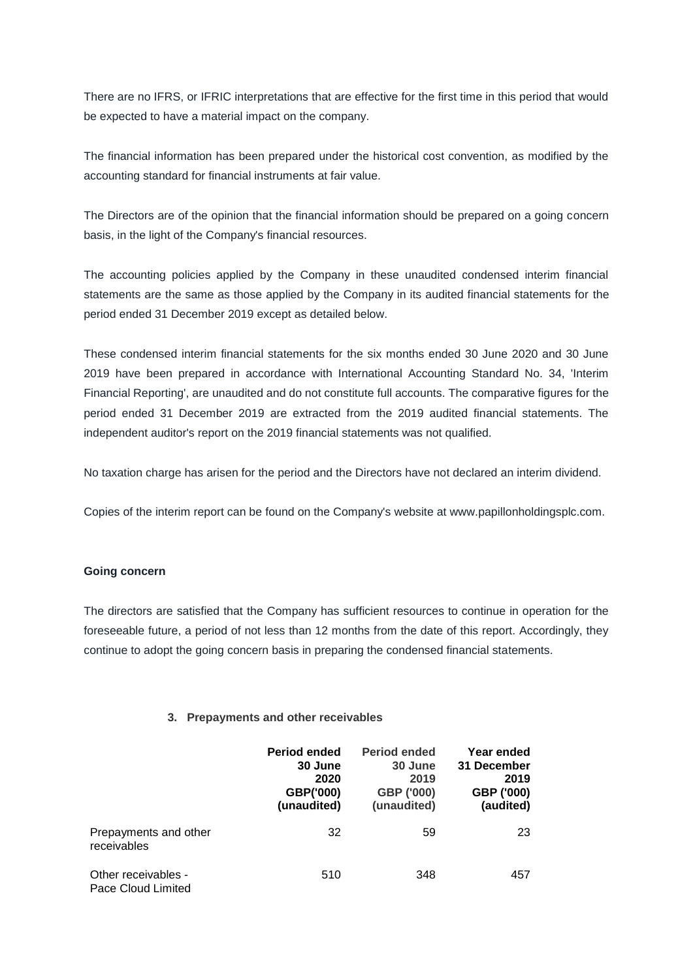There are no IFRS, or IFRIC interpretations that are effective for the first time in this period that would be expected to have a material impact on the company.

The financial information has been prepared under the historical cost convention, as modified by the accounting standard for financial instruments at fair value.

The Directors are of the opinion that the financial information should be prepared on a going concern basis, in the light of the Company's financial resources.

The accounting policies applied by the Company in these unaudited condensed interim financial statements are the same as those applied by the Company in its audited financial statements for the period ended 31 December 2019 except as detailed below.

These condensed interim financial statements for the six months ended 30 June 2020 and 30 June 2019 have been prepared in accordance with International Accounting Standard No. 34, 'Interim Financial Reporting', are unaudited and do not constitute full accounts. The comparative figures for the period ended 31 December 2019 are extracted from the 2019 audited financial statements. The independent auditor's report on the 2019 financial statements was not qualified.

No taxation charge has arisen for the period and the Directors have not declared an interim dividend.

Copies of the interim report can be found on the Company's website at www.papillonholdingsplc.com.

### **Going concern**

The directors are satisfied that the Company has sufficient resources to continue in operation for the foreseeable future, a period of not less than 12 months from the date of this report. Accordingly, they continue to adopt the going concern basis in preparing the condensed financial statements.

### **3. Prepayments and other receivables**

|                                           | Period ended<br>30 June<br>2020<br>GBP('000)<br>(unaudited) | <b>Period ended</b><br>30 June<br>2019<br>GBP ('000)<br>(unaudited) | Year ended<br>31 December<br>2019<br>GBP ('000)<br>(audited) |
|-------------------------------------------|-------------------------------------------------------------|---------------------------------------------------------------------|--------------------------------------------------------------|
| Prepayments and other<br>receivables      | 32                                                          | 59                                                                  | 23                                                           |
| Other receivables -<br>Pace Cloud Limited | 510                                                         | 348                                                                 | 457                                                          |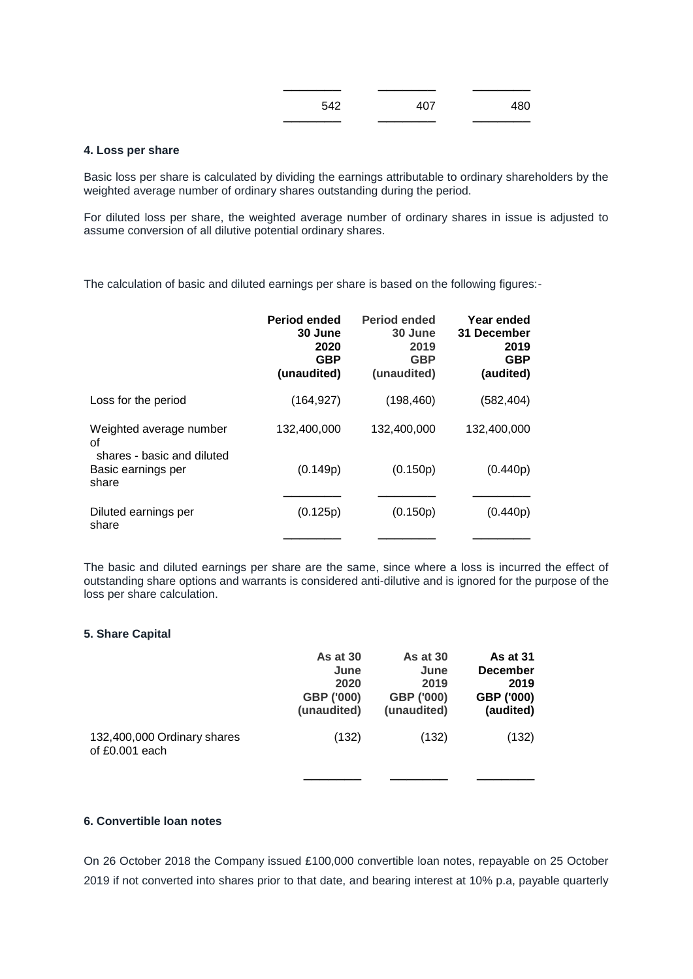| 542 | 407 | 480 |
|-----|-----|-----|
|     |     |     |

#### **4. Loss per share**

Basic loss per share is calculated by dividing the earnings attributable to ordinary shareholders by the weighted average number of ordinary shares outstanding during the period.

For diluted loss per share, the weighted average number of ordinary shares in issue is adjusted to assume conversion of all dilutive potential ordinary shares.

The calculation of basic and diluted earnings per share is based on the following figures:-

| <b>Period ended</b><br>30 June<br>2020<br><b>GBP</b><br>(unaudited) | <b>Period ended</b><br>30 June<br>2019<br><b>GBP</b><br>(unaudited) | Year ended<br>31 December<br>2019<br><b>GBP</b><br>(audited) |
|---------------------------------------------------------------------|---------------------------------------------------------------------|--------------------------------------------------------------|
| (164, 927)                                                          | (198, 460)                                                          | (582,404)                                                    |
| 132,400,000                                                         | 132,400,000                                                         | 132,400,000                                                  |
| (0.149p)                                                            | (0.150p)                                                            | (0.440p)                                                     |
| (0.125p)                                                            | (0.150p)                                                            | (0.440p)                                                     |
|                                                                     |                                                                     |                                                              |

The basic and diluted earnings per share are the same, since where a loss is incurred the effect of outstanding share options and warrants is considered anti-dilutive and is ignored for the purpose of the loss per share calculation.

#### **5. Share Capital**

|                                               | <b>As at 30</b> | As at 30    | <b>As at 31</b> |
|-----------------------------------------------|-----------------|-------------|-----------------|
|                                               | June            | June        | <b>December</b> |
|                                               | 2020            | 2019        | 2019            |
|                                               | GBP ('000)      | GBP ('000)  | GBP ('000)      |
|                                               | (unaudited)     | (unaudited) | (audited)       |
| 132,400,000 Ordinary shares<br>of £0.001 each | (132)           | (132)       | (132)           |

# **6. Convertible loan notes**

On 26 October 2018 the Company issued £100,000 convertible loan notes, repayable on 25 October 2019 if not converted into shares prior to that date, and bearing interest at 10% p.a, payable quarterly